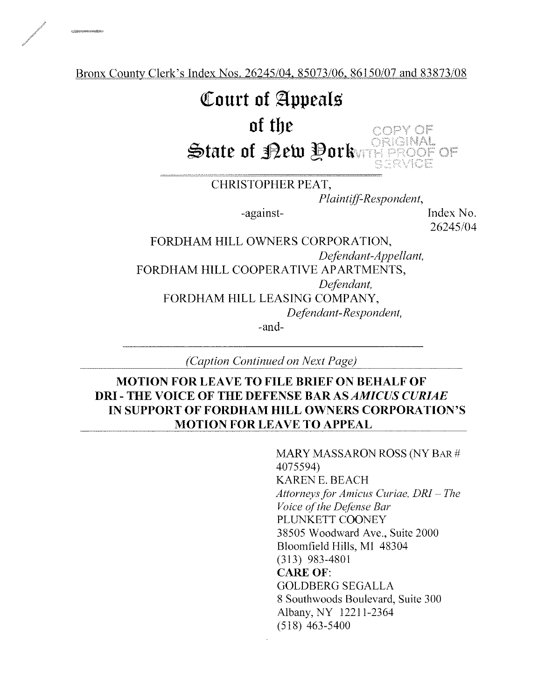Bronx County Clerk's Index Nos. 26245/04, 85073/06, 86150/07 and 83873/08

## Court of Appeals

## of tlje

 $\mathfrak s$ tate of Bew Porkers OF OF

CHRISTOPHER PEAT,

Plaintiff-Respondent,

ndey ar

-against-<br>Index No.

26245/04

FORDHAM HILL OWNERS CORPORATION, Defendant-Appellant, FORDHAM HILL COOPERATIVE APARTMENTS, Defendant, FORDHAM HILL LEASING COMPANY, Defendant-Respondent,

-and-

(Caption Continued on Next Page)

## MOTION FOR LEAVE TO FILE BRIEF ON BEHALF OF DRI - THE VOICE OF THE DEFENSE BAR AS AMICUS CURIAE IN SUPPORT OF FORDHAM HILL OWNERS CORPORATION'S MOTION FOR LEAVE TO APPEAL

MARY MASSARON ROSS (NY BAR # 4075594) KAREN E. BEACH Attorneys for Amicus Curiae, DRI — The Voice of the Defense Bar PLUNKETT COONEY 38505 Woodward Ave., Suite 2000 Bloomfield Hills, MI 48304 (313) 983-4801 CARE OF: GOLDBERG SEGALLA 8 Southwoods Boulevard, Suite 300 Albany, NY 12211-2364 (518) 463-5400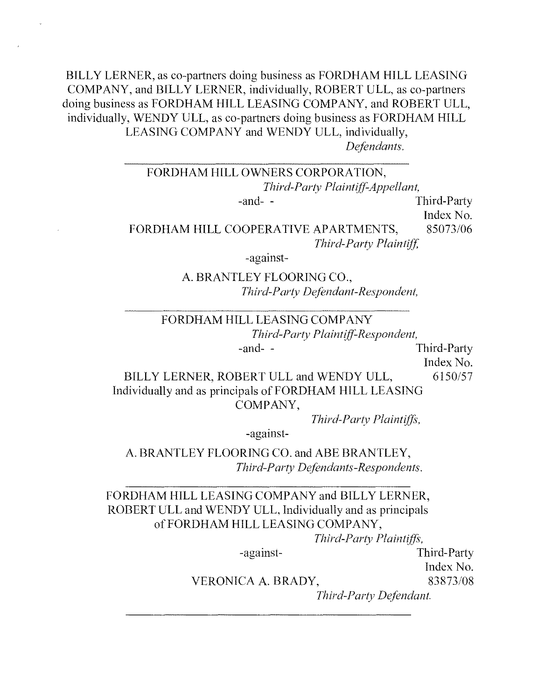BILLY LERNER, as co-partners doing business as FORDHAM HILL LEASING COMPANY, and BILLY LERNER, individually, ROBERT ULL, as co-partners doing business as FORDHAM HILL LEASING COMPANY, and ROBERT ULL, individually, WENDY ULL, as co-partners doing business as FORDHAM HILL LEASING COMPANY and WENDY ULL, individually, Defendants.

## FORDHAM HILL OWNERS CORPORATION, Third-Party Plaintiff-Appellant, -and- - Third-Party

Index No.

FORDHAM HILL COOPERATIVE APARTMENTS, 85073/06 Third-Party Plaintiff,

-against-

A. BRANTLEY FLOORING CO., Third-Party Defendant-Respondent,

## FORDHAM HILL LEASING COMPANY Third-Party Plaintiff-Respondent, -and- - Third-Party

Index No.

BILLY LERNER, ROBERT ULL and WENDY ULL, 6150/57 Individually and as principals of FORDHAM HILL LEASING COMPANY,

Third-Party Plaintiffs,

-against-

A. BRANTLEY FLOORING CO. and ABE BRANTLEY, Third-Party Defendants-Respondents.

FORDHAM HILL LEASING COMPANY and BILLY LERNER, ROBERT ULL and WENDY ULL, Individually and as principals of FORDHAM HILL LEASING COMPANY,

Third-Party Plaintiffs,

-against- Third-Party

Index No.

VERONICA A. BRADY, 83873/08

Third-Party Defendant.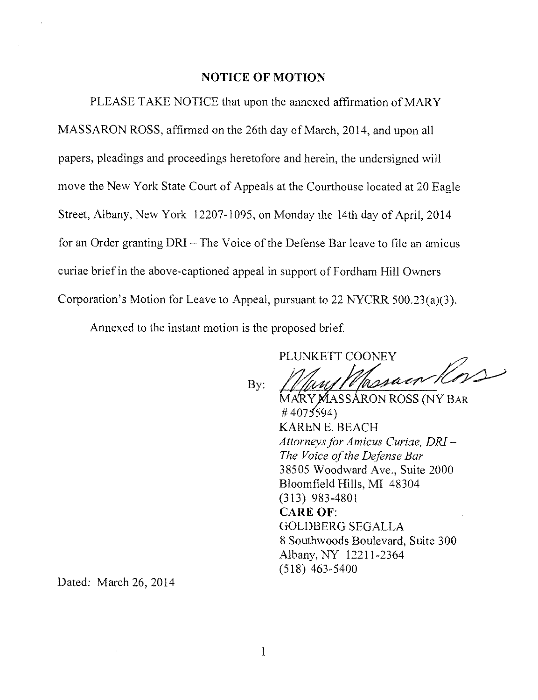#### NOTICE OF MOTION

PLEASE TAKE NOTICE that upon the annexed affirmation of MARY MASSARON ROSS, affirmed on the 26th day of March, 2014, and upon all papers, pleadings and proceedings heretofore and herein, the undersigned will move the New York State Court of Appeals at the Courthouse located at 20 Eagle Street, Albany, New York 12207-1095, on Monday the 14th day of April, 2014 for an Order granting DRI — The Voice of the Defense Bar leave to file an amicus curiae brief in the above-captioned appeal in support of Fordham Hill Owners Corporation's Motion for Leave to Appeal, pursuant to 22 NYCRR 500.23(a)(3).

Annexed to the instant motion is the proposed brief.

PLUNKETT COONEY

By:

MARY MASSARON ROSS (NY BAR  $#4075594$ KAREN E. BEACH Attorneys for Amicus Curiae, DRI — The Voice of the Defense Bar 38505 Woodward Ave., Suite 2000 Bloomfield Hills, MI 48304 (313) 983-4801 CARE OF: GOLDBERG SEGALLA 8 Southwoods Boulevard, Suite 300 Albany, NY 12211-2364 (518) 463-5400

Dated: March 26, 2014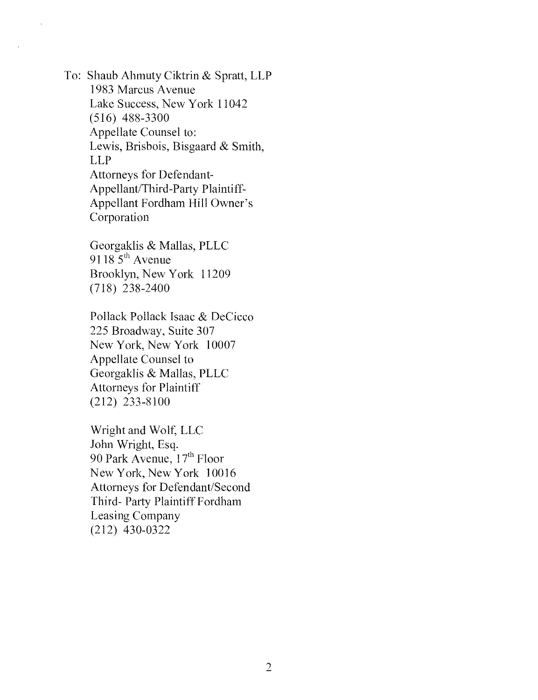To: Shaub Alimuty Ciktrin & Spratt, LLP 1983 Marcus Avenue Lake Success, New York 11042 (516) 488-3300 Appellate Counsel to: Lewis, Brisbois, Bisgaard & Smith, LLP Attorneys for Defendant-Appellant/Third-Party Plaintiff-Appellant Fordham Hill Owner's Corporation

> Georgaklis & Mallas, PLLC  $9118\overline{5}^{th}$  Avenue Brooklyn, New York 11209 (718) 238-2400

Pollack Pollack Isaac & DeCicco 225 Broadway, Suite 307 New York, New York 10007 Appellate Counsel to Georgaklis & MaIlas, PLLC Attorneys for Plaintiff (212) 233-8100

Wright and Wolf, LLC John Wright, Esq. 90 Park Avenue, 17<sup>th</sup> Floor New York, New York 10016 Attorneys for Defendant/Second Third- Party Plaintiff Fordham Leasing Company (212) 430-0322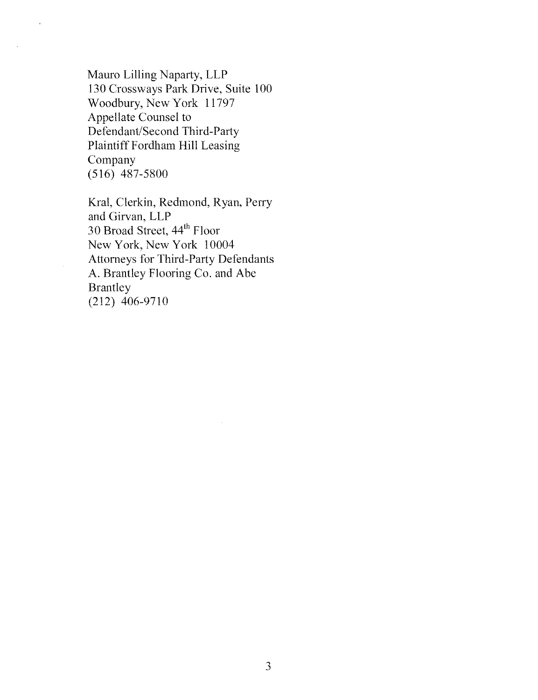Mauro Lilling Naparty, LLP 130 Crossways Park Drive, Suite 100 Woodbury, New York 11797 Appellate Counsel to Defendant/Second Third-Party Plaintiff Fordham Hill Leasing Company (516) 487-5800

Kral, Clerkin, Redmond, Ryan, Perry and Girvan, LLP 30 Broad Street, 44<sup>th</sup> Floor New York, New York 10004 Attorneys for Third-Party Defendants A. Brantley Flooring Co. and Abe Brantley (212) 406-9710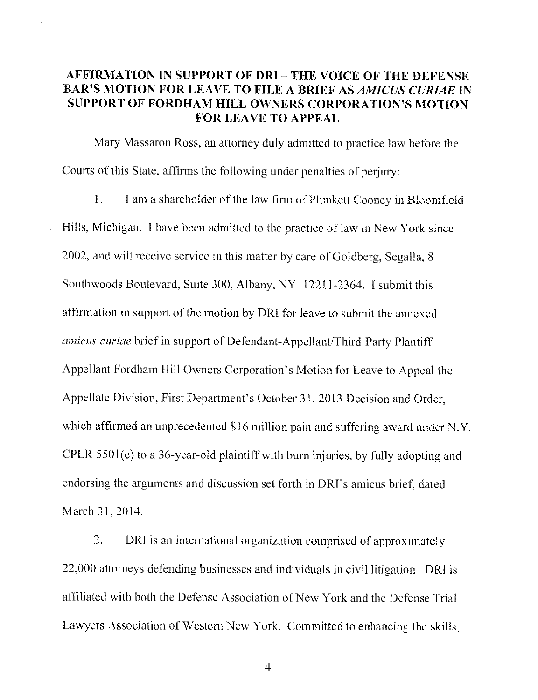## AFFIRMATION IN SUPPORT OF DRI — THE VOICE OF THE DEFENSE BAR'S MOTION FOR LEAVE TO FILE A BRIEF AS AMICUS CURIAE IN SUPPORT OF FORDHAM HILL OWNERS CORPORATION'S MOTION FOR LEAVE TO APPEAL

Mary Massaron Ross, an attorney duly admitted to practice law before the Courts of this State, affirms the following under penalties of perjury:

1. 1 am a shareholder of the law firm of Plunkett Cooney in Bloomfield Hills, Michigan. I have been admitted to the practice of law in New York since 2002, and will receive service in this matter by care of Goldberg, Segalla, 8 Southwoods Boulevard, Suite 300, Albany, NY 12211-2364. 1 submit this affirmation in support of the motion by DRI for leave to submit the annexed amicus curiae brief in support of Defendant-Appellant/Third-Party Plantiff-Appellant Fordham Hill Owners Corporation's Motion for Leave to Appeal the Appellate Division, First Department's October 31, 2013 Decision and Order, which affirmed an unprecedented \$16 million pain and suffering award under N.Y. CPLR 5501(c) to a 36-year-old plaintiff with burn injuries, by fully adopting and endorsing the arguments and discussion set forth in DRI's amicus brief, dated March 31, 2014.

2. DRI is an international organization comprised of approximately 22,000 attorneys defending businesses and individuals in civil litigation. DRI is affiliated with both the Defense Association of New York and the Defense Trial Lawyers Association of Western New York. Committed to enhancing the skills,

4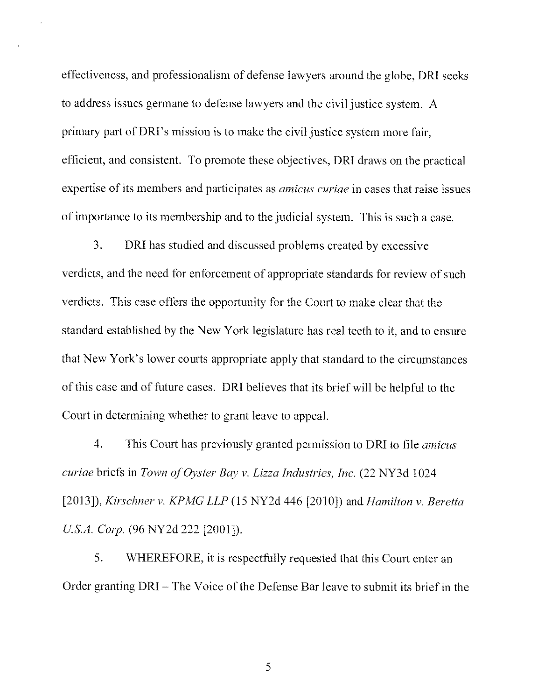effectiveness, and professionalism of defense lawyers around the globe, DRI seeks to address issues germane to defense lawyers and the civil justice system. A primary part of DR1's mission is to make the civil justice system more fair, efficient, and consistent. To promote these objectives, DRI draws on the practical expertise of its members and participates as amicus curiae in cases that raise issues of importance to its membership and to the judicial system. This is such a case.

3. DRI has studied and discussed problems created by excessive verdicts, and the need for enforcement of appropriate standards for review of such verdicts. This case offers the opportunity for the Court to make clear that the standard established by the New York legislature has real teeth to it, and to ensure that New York's lower courts appropriate apply that standard to the circumstances of this case and of future cases. DRI believes that its brief will be helpful to the Court in determining whether to grant leave to appeal.

4. This Court has previously granted permission to DRI to file *amicus* curiae briefs in Town of Oyster Bay v. Lizza Industries, Inc. (22 NY3d 1024 [2013]), Kirschner v. KPMG LLP (15 NY2d 446 [2010]) and Hamilton v. Beretta U.S.A. Corp. (96 NY2d 222 [2001]).

5. WHEREFORE, it is respectfully requested that this Court enter an Order granting DRI — The Voice of the Defense Bar leave to submit its brief in the

5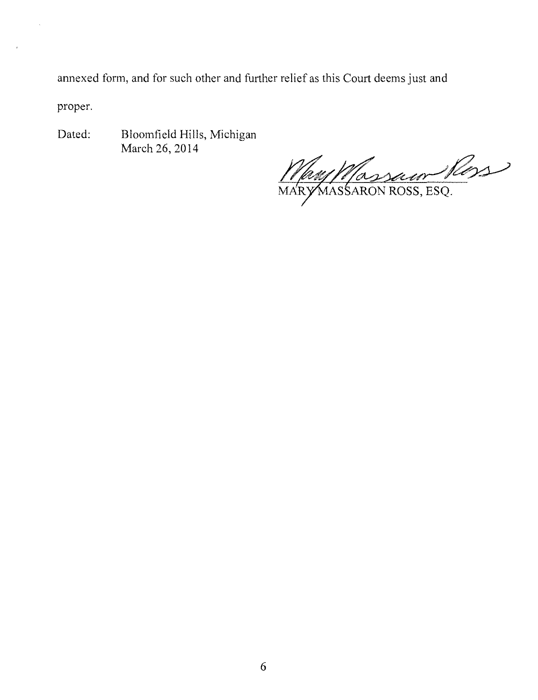annexed form, and for such other and further relief as this Court deems just and

proper.

Dated: Bloomfield Hills, Michigan March 26, 2014

10 WM/Massaum Ross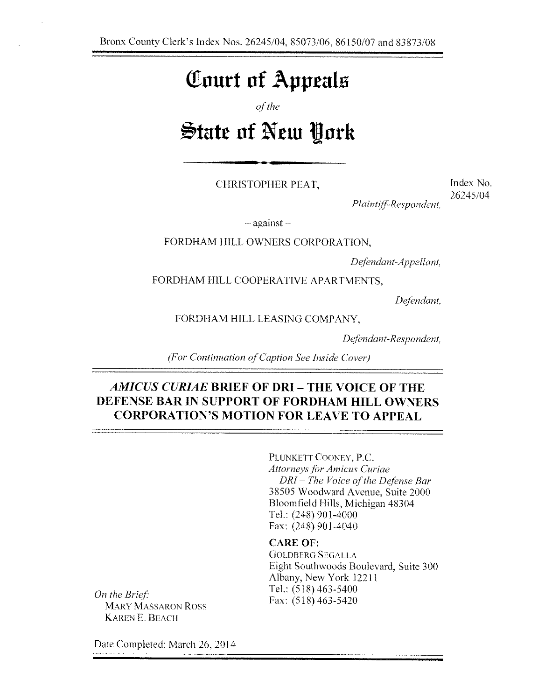## Tourt of Appeals

of the

# **State of New York**

CHRISTOPHER PEAT,

Index No. 26245/04

Plaintiff-Respondent,

— against —

FORDHAM HILL OWNERS CORPORATION,

Defendant-Appellant,

FORDHAM HILL COOPERATIVE APARTMENTS,

Defendant,

FORDHAM HILL LEASING COMPANY,

Defendant-Respondent,

(For Continuation of Caption See Inside Cover)

## AMICUS CURIAE BRIEF OF DRI - THE VOICE OF THE DEFENSE BAR IN SUPPORT OF FORDHAM HILL OWNERS CORPORATION'S MOTION FOR LEAVE TO APPEAL

PLUNKETT COONEY, P.C. Attorneys for Amiens Curiae DRI — The Voice of the Defense Bar 38505 Woodward Avenue, Suite 2000 Bloomfield Hills, Michigan 48304 Tel.: (248) 901-4000 Fax: (248) 901-4040

#### CARE OF:

**GOLDBERG SEGALLA** Eight Southwoods Boulevard, Suite 300 Albany, New York 12211 Tel.: (518) 463-5400 Fax: (518) 463-5420

On the Brief. MARY MASSARON Ross KAREN E. BEACH

Date Completed: March 26, 2014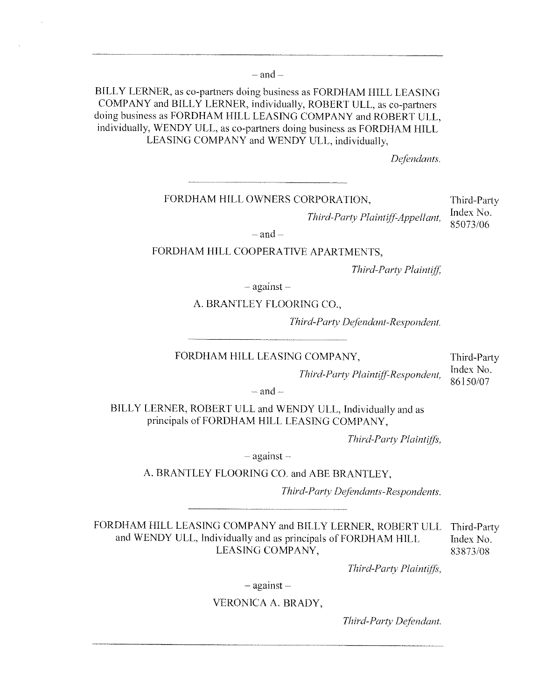$-$  and  $-$ 

BILLY LERNER, as co-partners doing business as FORDHAM HILL LEASING COMPANY and BILLY LERNER, individually, ROBERT ULL, as co-partners doing business as FORDHAM HILL LEASING COMPANY and ROBERT ULL, individually, WENDY ULL, as co-partners doing business as FORDHAM HILL LEASING COMPANY and WENDY ULL, individually,

Defendants.

FORDHAM HILL OWNERS CORPORATION, Third-Party

Third-Party Plaintiff-Appellant,  $\frac{\text{Index No}}{\text{base 2}}$ 85073/06

 $-$ and  $-$ 

#### FORDHAM HILL COOPERATIVE APARTMENTS,

Third-Party Plaintiff,

— against —

A. BRANTLEY FLOORING CO.,

Third-Party Defendant-Respondent.

FORDHAM HILL LEASING COMPANY, Third-Party<br>Third-Party Party District Party Index No.

86150/07 Third-Party Plaintiff-Respondent, index index

 $-$  and  $-$ 

BILLY LERNER, ROBERT ULL and WENDY ULL, Individually and as principals of FORDHAM HILL LEASING COMPANY,

Third-Party Plaintiffs,

— against —

A. BRANTLEY FLOORING CO. and ABE BRANTLEY,

Third-Party Defendants-Respondents.

FORDHAM HILL LEASING COMPANY and BILLY LERNER, ROBERT ULL Third-Party and WENDY ULL, Individually and as principals of FORDHAM HILL Index No.<br>LEASING COMPANY, 83873/08 LEASING COMPANY,

Third-Party Plaintiffs,

— against —

#### VERONICA A. BRADY,

Third-Parry Defendant.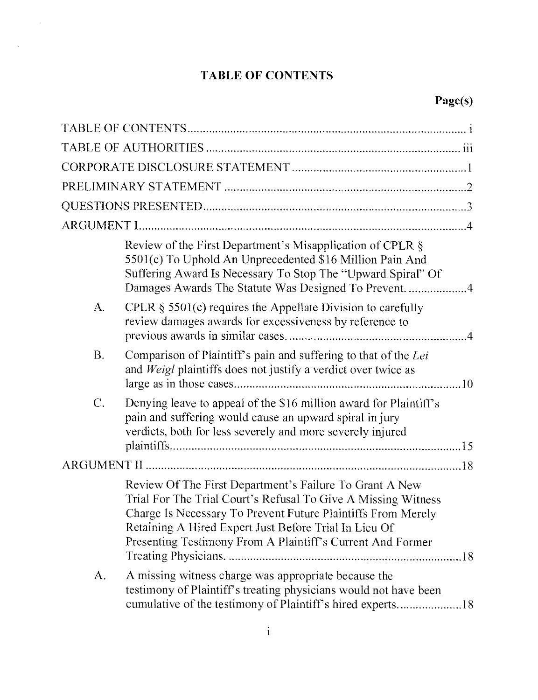## TABLE OF CONTENTS

 $\label{eq:2.1} \frac{1}{\sqrt{2}}\int_{\mathbb{R}^{2}}\frac{1}{\sqrt{2}}\left(\frac{1}{\sqrt{2}}\right)^{2}d\mu\int_{\mathbb{R}^{2}}\frac{1}{\sqrt{2}}\left(\frac{1}{\sqrt{2}}\right)^{2}d\mu\int_{\mathbb{R}^{2}}\frac{1}{\sqrt{2}}\left(\frac{1}{\sqrt{2}}\right)^{2}d\mu\int_{\mathbb{R}^{2}}\frac{1}{\sqrt{2}}\left(\frac{1}{\sqrt{2}}\right)^{2}d\mu\int_{\mathbb{R}^{2}}\frac{1}{\sqrt{2}}\left(\frac{1}{$ 

 $\frac{1}{2} \frac{1}{2} \frac{1}{2} \frac{1}{2} \frac{1}{2}$ 

|                  | Review of the First Department's Misapplication of CPLR §<br>5501(c) To Uphold An Unprecedented \$16 Million Pain And<br>Suffering Award Is Necessary To Stop The "Upward Spiral" Of                                                                                                                            |
|------------------|-----------------------------------------------------------------------------------------------------------------------------------------------------------------------------------------------------------------------------------------------------------------------------------------------------------------|
| $A_{\cdot}$      | CPLR $\S$ 5501(c) requires the Appellate Division to carefully<br>review damages awards for excessiveness by reference to                                                                                                                                                                                       |
| <b>B.</b>        | Comparison of Plaintiff's pain and suffering to that of the Lei<br>and Weigl plaintiffs does not justify a verdict over twice as                                                                                                                                                                                |
| $\overline{C}$ . | Denying leave to appeal of the \$16 million award for Plaintiff's<br>pain and suffering would cause an upward spiral in jury<br>verdicts, both for less severely and more severely injured                                                                                                                      |
|                  |                                                                                                                                                                                                                                                                                                                 |
|                  | Review Of The First Department's Failure To Grant A New<br>Trial For The Trial Court's Refusal To Give A Missing Witness<br>Charge Is Necessary To Prevent Future Plaintiffs From Merely<br>Retaining A Hired Expert Just Before Trial In Lieu Of<br>Presenting Testimony From A Plaintiff's Current And Former |
| A.               | A missing witness charge was appropriate because the<br>testimony of Plaintiff's treating physicians would not have been<br>cumulative of the testimony of Plaintiff's hired experts18                                                                                                                          |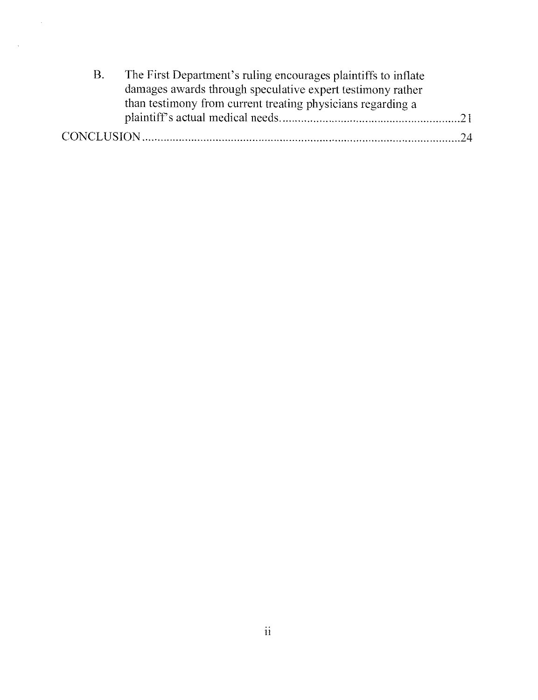| B. | The First Department's ruling encourages plaintiffs to inflate |  |
|----|----------------------------------------------------------------|--|
|    | damages awards through speculative expert testimony rather     |  |
|    | than testimony from current treating physicians regarding a    |  |
|    |                                                                |  |
|    |                                                                |  |

 $\frac{1}{2}$  ,  $\frac{1}{2}$ 

 $\mathcal{L}_{\mathcal{A}}$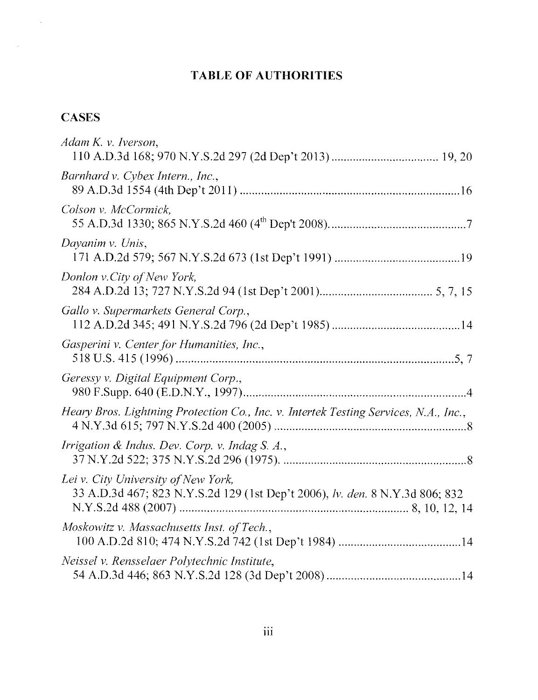## TABLE OF AUTHORITIES

## **CASES**

 $\mathcal{L}_{\text{c}}$  .

 $\sim 1$ 

| Adam K. v. Iverson,                                                                                                 |
|---------------------------------------------------------------------------------------------------------------------|
| Barnhard v. Cybex Intern., Inc.,                                                                                    |
| Colson v. McCormick,                                                                                                |
| Dayanim v. Unis,                                                                                                    |
| Donlon v.City of New York,                                                                                          |
| Gallo v. Supermarkets General Corp.,                                                                                |
| Gasperini v. Center for Humanities, Inc.,                                                                           |
| Geressy v. Digital Equipment Corp.,                                                                                 |
| Heary Bros. Lightning Protection Co., Inc. v. Intertek Testing Services, N.A., Inc.,                                |
| Irrigation & Indus. Dev. Corp. v. Indag S. A.,                                                                      |
| Lei v. City University of New York,<br>33 A.D.3d 467; 823 N.Y.S.2d 129 (1st Dep't 2006), lv. den. 8 N.Y.3d 806; 832 |
| Moskowitz v. Massachusetts Inst. of Tech.,                                                                          |
| Neissel v. Rensselaer Polytechnic Institute,                                                                        |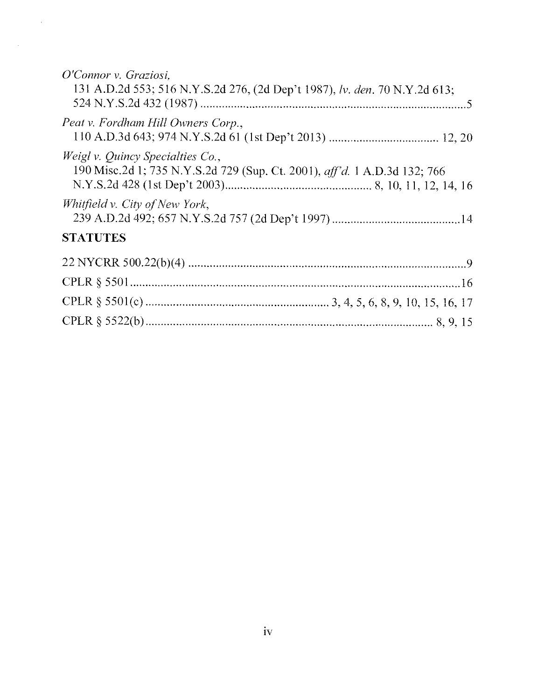| O'Connor v. Graziosi,<br>131 A.D.2d 553; 516 N.Y.S.2d 276, (2d Dep't 1987), lv. den. 70 N.Y.2d 613;                  |
|----------------------------------------------------------------------------------------------------------------------|
| Peat v. Fordham Hill Owners Corp.,                                                                                   |
| <i>Weigl v. Quincy Specialties Co.,</i><br>190 Misc.2d 1; 735 N.Y.S.2d 729 (Sup. Ct. 2001), aff'd. 1 A.D.3d 132; 766 |
| Whitfield v. City of New York,                                                                                       |
| <b>STATUTES</b>                                                                                                      |
|                                                                                                                      |
|                                                                                                                      |
|                                                                                                                      |
|                                                                                                                      |

 $\sim 10^{11}$ 

 $\mathcal{L}^{\text{max}}_{\text{max}}$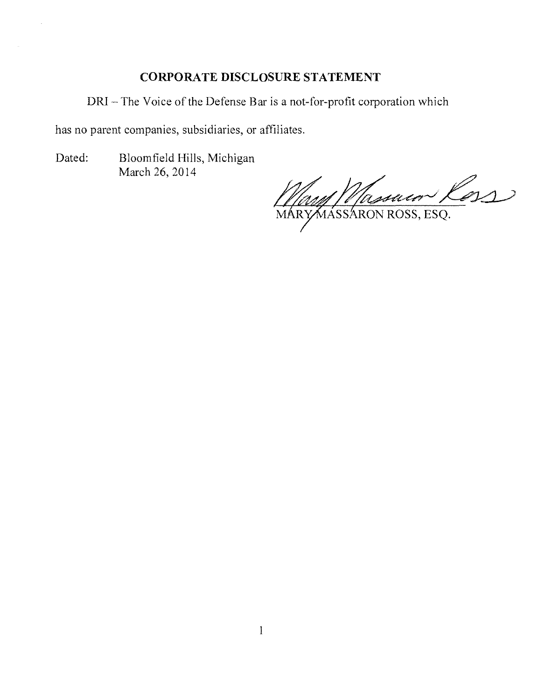## CORPORATE DISCLOSURE STATEMENT

DRI — The Voice of the Defense Bar is a not-for-profit corporation which

has no parent companies, subsidiaries, or affiliates.

Dated: Bloomfield Hills, Michigan March 26, 2014

May Massaco Coss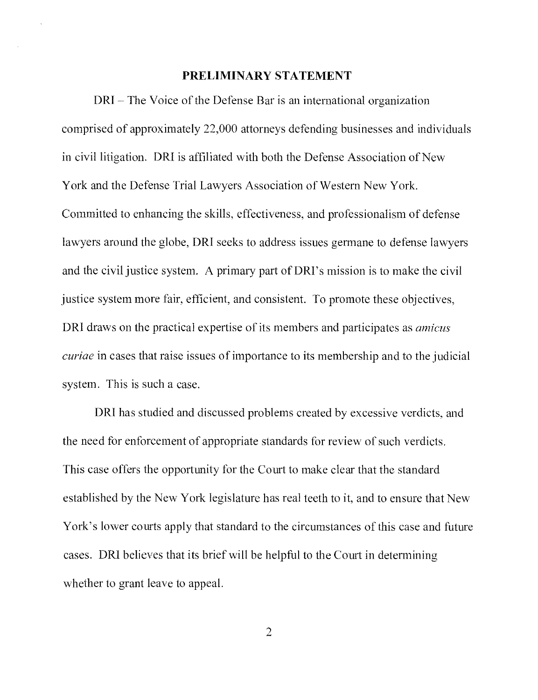#### PRELIMINARY STATEMENT

DRI — The Voice of the Defense Bar is an international organization comprised of approximately 22,000 attorneys defending businesses and individuals in civil litigation. DRI is affiliated with both the Defense Association of New York and the Defense Trial Lawyers Association of Western New York. Committed to enhancing the skills, effectiveness, and professionalism of defense lawyers around the globe, DRI seeks to address issues germane to defense lawyers and the civil justice system. A primary part of DRI's mission is to make the civil justice system more fair, efficient, and consistent. To promote these objectives, DRI draws on the practical expertise of its members and participates as *amicus* curiae in cases that raise issues of importance to its membership and to the judicial system. This is such a case.

DRI has studied and discussed problems created by excessive verdicts, and the need for enforcement of appropriate standards for review of such verdicts. This case offers the opportunity for the Court to make clear that the standard established by the New York legislature has real teeth to it, and to ensure that New York's lower courts apply that standard to the circumstances of this case and future cases. DRI believes that its brief will be helpful to the Court in determining whether to grant leave to appeal.

2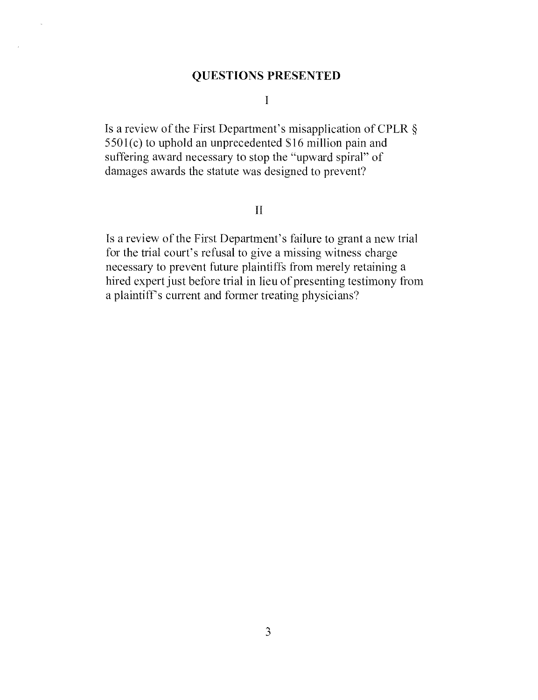### QUESTIONS PRESENTED

I

Is a review of the First Department's misapplication of GPLR § 5501(c) to uphold an unprecedented S16 million pain and suffering award necessary to stop the "upward spiral" of damages awards the statute was designed to prevent?

#### $\Pi$

Is a review of the First Department's failure to grant a new trial for the trial court's refusal to give a missing witness charge necessary to prevent future plaintiffs from merely retaining a hired expert just before trial in lieu of presenting testimony from a plaintiff's current and former treating physicians?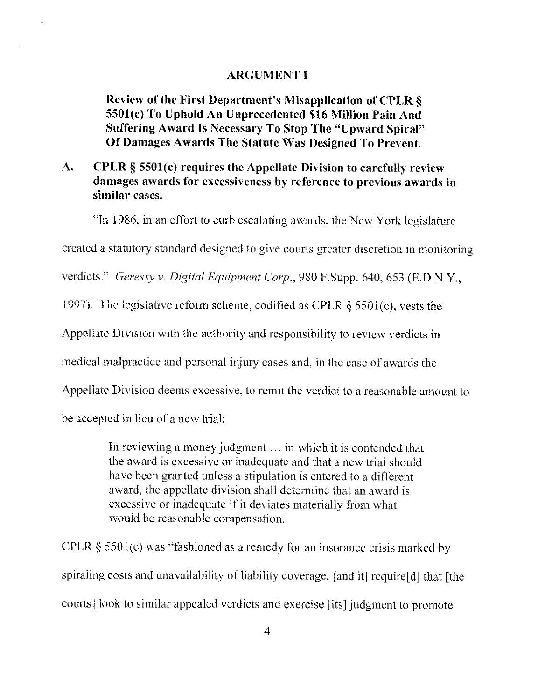#### ARGUMENT I

Review of the First Department's Misapplication of CPLR § 5501(c) To Uphold An Unprecedented \$16 Million Pain And Suffering Award Is Necessary To Stop The "Upward Spiral" Of Damages Awards The Statute Was Designed To Prevent.

### A. CPLR § 5501(c) requires the Appellate Division to carefully review damages awards for excessiveness by reference to previous awards in similar cases.

"In 1986, in an effort to curb escalating awards, the New York legislature

created a statutory standard designed to give courts greater discretion in monitoring

verdicts." Geressy v. Digital Equipment Corp., 980 F.Supp. 640, 653 (E.D.N.Y.,

1997). The legislative reform scheme, codified as CPLR § 5501(c), vests the

Appellate Division with the authority and responsibility to review verdicts in

medical malpractice and personal injury cases and, in the case of awards the

Appellate Division deems excessive, to remit the verdict to a reasonable amount to

be accepted in lieu of a new trial:

In reviewing a money judgment ... in which it is contended that the award is excessive or inadequate and that a new trial should have been granted unless a stipulation is entered to a different award, the appellate division shall determine that an award is excessive or inadequate if it deviates materially from what would be reasonable compensation.

CPLR § 5501(c) was "fashioned as a remedy for an insurance crisis marked by spiraling costs and unavailability of liability coverage, [and it] require[d] that [the courts] look to similar appealed verdicts and exercise [its] judgment to promote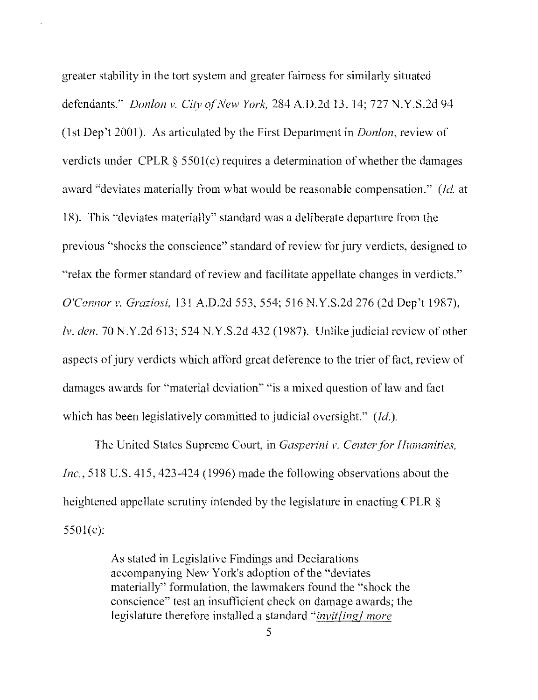greater stability in the tort system and greater fairness for similarly situated defendants." *Donlon v. City of New York*, 284 A.D.2d 13, 14; 727 N.Y.S.2d 94 (1st Dep't 2001). As articulated by the First Department in Donlon, review of verdicts under CPLR § 5501(c) requires a determination of whether the damages award "deviates materially from what would be reasonable compensation." (*Id.* at 18). This "deviates materially" standard was a deliberate departure from the previous "shocks the conscience"standard of review for jury verdicts, designed to "relax the former standard of review and facilitate appellate changes in verdicts." O'Connor v. Graziosi, 131 A.D.2d 553, 554; 516 N.Y.S.2d 276 (2d Dep't 1987), Iv. den. 70 N.Y.2d 613; 524 N.Y.S.2d 432 (1987). Unlike judicial review of other aspects of jury verdicts which afford great deference to the trier of fact, review of damages awards for "material deviation" "is a mixed question of law and fact which has been legislatively committed to judicial oversight." (Id.).

The United States Supreme Court, in Gasperini v. Center for Humanities, Inc., 518 U.S. 415, 423-424 (1996) made the following observations about the heightened appellate scrutiny intended by the legislature in enacting CPLR § 5501(c):

> As stated in Legislative Findings and Declarations accompanying New York's adoption of the "deviates materially" formulation, the lawmakers found the "shock the conscience" test an insufficient check on damage awards; the legislature therefore installed a standard "*invit[ing] more*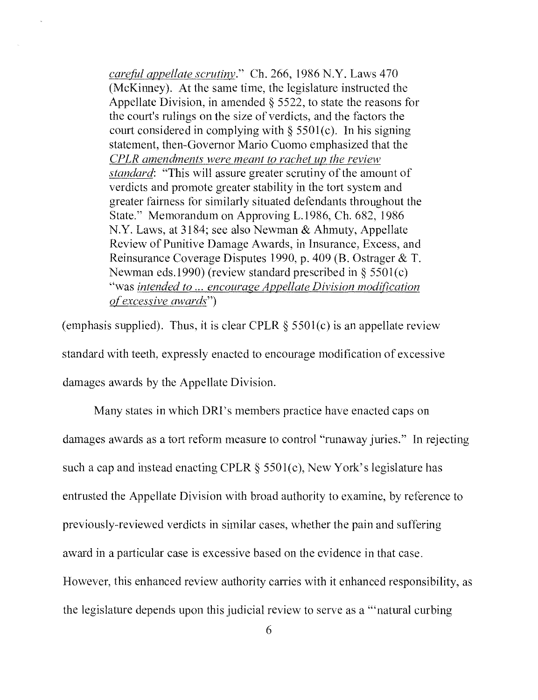carefid appellate scrutiny." Ch. 266, 1986 N.Y. Laws 470 (McKinney). At the same time, the legislature instructed the Appellate Division, in amended § 5522, to state the reasons for the court's rulings on the size of verdicts, and the factors the court considered in complying with  $\S 5501(c)$ . In his signing statement, then-Govemor Mario Cuomo emphasized that the CPLR amendments were meant to rachet up the review standard: "This will assure greater scrutiny of the amount of verdicts and promote greater stability in the tort system and greater fairness for similarly situated defendants throughout the State." Memorandum on Approving L.1986, Ch. 682, 1986 N.Y. Laws, at 3184; see also Newman & Ahmuty, Appellate Review of Punitive Damage Awards, in Insurance, Excess, and Reinsurance Coverage Disputes 1990, p. 409 (B. Ostrager & T. Newman eds.1990) (review standard prescribed in § 5501(c) "was intended to ... encourage Anpellate Division modification of excessive awards")

(emphasis supplied). Thus, it is clear CPLR  $\S$  5501(c) is an appellate review standard with teeth, expressly enacted to encourage modification of excessive damages awards by the Appellate Division.

Many states in which DRI's members practice have enacted caps on damages awards as a tort reform measure to control"runaway juries." In ejecting such a cap and instead enacting CPLR  $\S$  5501(c), New York's legislature has entrusted the Appellate Division with broad authority to examine, by reference to previously-reviewed verdicts in similar cases, whether the pain and suffering award in a particular case is excessive based on the evidence in that case. However, this enhanced review authority carries with it enhanced responsibility, as the legislature depends upon this judicial review to serve as a "'natural curbing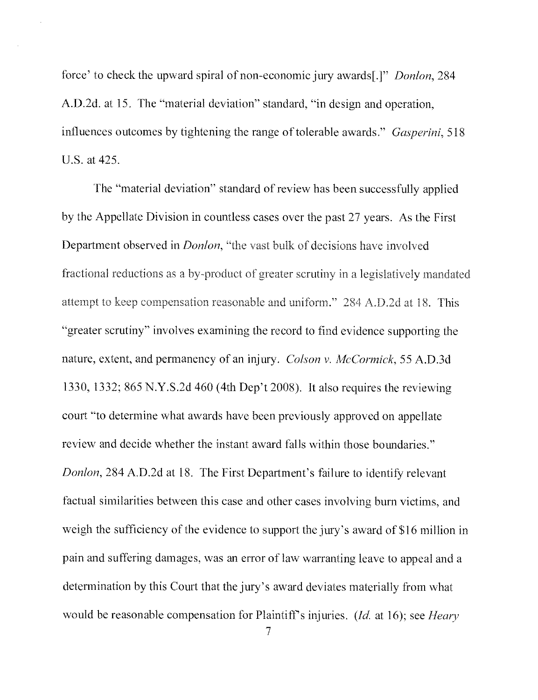force' to check the upward spiral of non-economic jury awards[.]" Donlon, 284 A.D.2d. at 15. The "material deviation" standard, "in design and operation, influences outcomes by tightening the range of tolerable awards." Gasperini, 518 U.S. at 425.

The "material deviation" standard of review has been successfully applied by the Appellate Division in countless cases over the past 27 years. As the First Department observed in Donlon, "the vast bulk of decisions have involved fractional reductions as a by-product of greater scrutiny in a legislatively mandated attempt to keep compensation reasonable and uniform." 284 A.D.2d at 18. This "greater scrutiny" involves examining the record to find evidence supporting the nature, extent, and permanency of an injury. Colson v. McCormick, 55 A.D.3d 1330, 1332; 865 N.Y.S.2d 460 (4th Dep't 2008). It also requires the reviewing court "to determine what awards have been previously approved on appellate review and decide whether the instant award falls within those boundaries." Donlon, 284 A.D.2d at 18. The First Department's failure to identify relevant factual similarities between this case and other cases involving burn victims, and weigh the sufficiency of the evidence to support the jury's award of \$16 million in pain and suffering damages, was an error of law warranting leave to appeal and a determination by this Court that the jury's award deviates materially from what would be reasonable compensation for Plaintiff's injuries. (*Id.* at 16); see *Heary*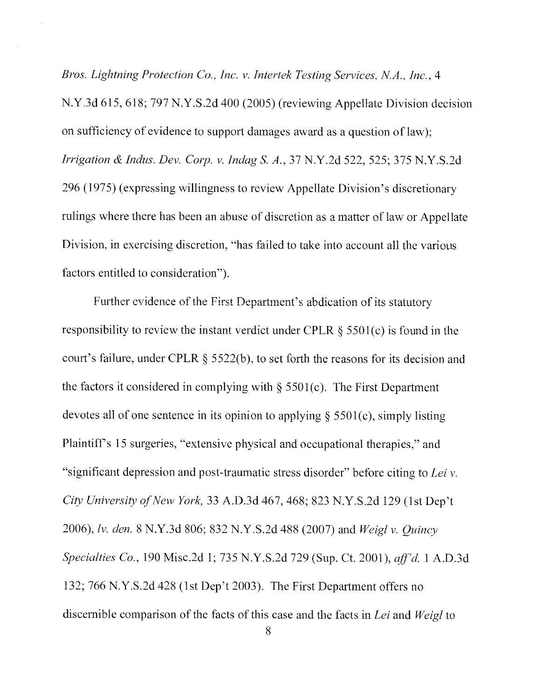Bros. Lightning Protection Co., Inc. v. Intertek Testing Services, N.A., Inc. 4 N.Y.3d 615, 618; 797 N.Y.S.2d 400 (2005) (reviewing Appellate Division decision on sufficiency of evidence to support damages award as a question of law); Irrigation & Indus. Dev. Corp. v. Indag S. A., 37 N.Y.2d 522, 525; 375 N.Y.S.2d 296 (1975) (expressing willingness to review Appellate Division's discretionary rulings where there has been an abuse of discretion as a matter of law or Appellate Division, in exercising discretion, "has failed to take into account all the various factors entitled to consideration").

Further evidence of the First Department's abdication of its statutory responsibility to review the instant verdict under CPLR § 5501(c) is found in the court's failure, under CPLR § 5522(b), to set forth the reasons for its decision and the factors it considered in complying with  $\S$  5501(c). The First Department devotes all of one sentence in its opinion to applying  $\S$  5501(c), simply listing Plaintiff's 15 surgeries, "extensive physical and occupational therapies," and "significant depression and post-traumatic stress disorder" before citing to Lei v. City University of New York, 33 A.D.3d 467, 468; 823 N.Y.S.2d 129 (1st Dep't 2006), lv. den. 8 N.Y.3d 806; 832 N.Y.S.2d 488 (2007) and Weigl v. Quincy Specialties Co., 190 Misc.2d 1; 735 N.Y.S.2d 729 (Sup. Ct. 2001), aff'd. 1 A.D.3d 132; 766 N.Y.S.2d 428 (1st Dep't 2003). The First Department offers no discernible comparison of the facts of this case and the facts in Lei and Weigl to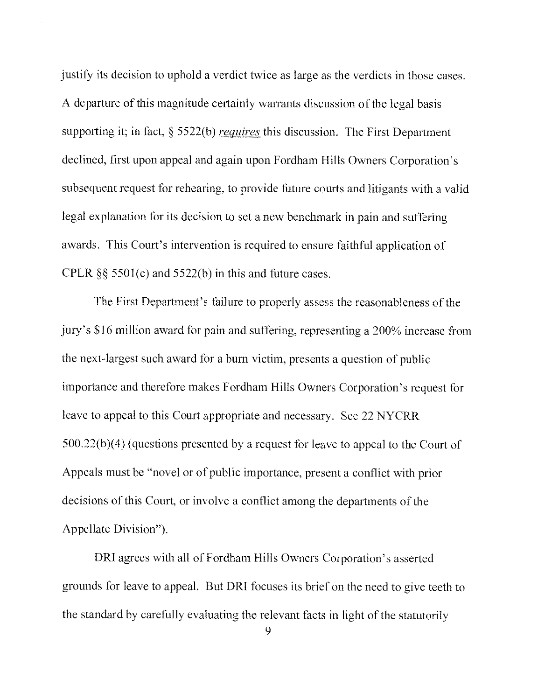justify its decision to uphold a verdict twice as large as the verdicts in those cases. A departure of this magnitude certainly warrants discussion of the legal basis supporting it; in fact,  $\S$  5522(b) requires this discussion. The First Department declined, first upon appeal and again upon Fordham Hills Owners Corporation's subsequent request for rehearing, to provide future courts and litigants with a valid legal explanation for its decision to set a new benchmark in pain and suffering awards. This Court's intervention is required to ensure faithful application of CPLR  $\S$ § 5501(c) and 5522(b) in this and future cases.

The First Department's failure to properly assess the reasonableness of the jury's \$16 million award for pain and suffering, representing a 200% increase from the next-largest such award for a burn victim, presents a question of public importance and therefore makes Fordham Hills Owners Corporation's request for leave to appeal to this Court appropriate and necessary. See 22 NYCRR 500.22(b)(4) (questions presented by a request for leave to appeal to the Court of Appeals must be "novel or of public importance, present a conflict with prior decisions of this Court, or involve a conflict among the departments of the Appellate Division").

DRI agrees with all of Fordham Hills Owners Corporation's asserted grounds for leave to appeal. But DRI focuses its brief on the need to give teeth to the standard by carefully evaluating the relevant facts in light of the statutorily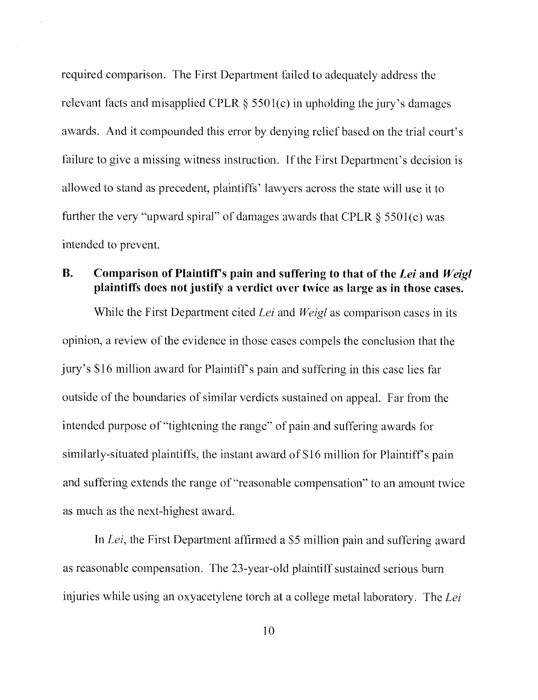required comparison. The First Department failed to adequately address the relevant facts and misapplied CPLR  $\S$  5501(c) in upholding the jury's damages awards. And it compounded this error by denying relief based on the trial court's failure to give a missing witness instruction. If the First Department's decision is allowed to stand as precedent, plaintiffs' lawyers across the state will use it to further the very "upward spiral" of damages awards that CPLR  $\S$  5501(c) was intended to prevent.

### B. Comparison of Plaintiff's pain and suffering to that of the Lei and Weigl plaintiffs does not justify a verdict over twice as large as in those cases.

While the First Department cited Lei and Weigl as comparison cases in its opinion, a review of the evidence in those cases compels the conclusion that the jury's \$16 million award for Plaintiff's pain and suffering in this case lies far outside of the boundaries of similar verdicts sustained on appeal. Far from the intended purpose of "tightening the range" of pain and suffering awards for similarly-situated plaintiffs, the instant award of \$16 million for Plaintiff's pain and suffering extends the range of "reasonable compensation" to an amount twice as much as the next-highest award.

In Lei, the First Department affirmed a \$5 million pain and suffering award as reasonable compensation. The 23-year-old plaintiff sustained serious burn injuries while using an oxyacetylene torch at a college metal laboratory. The Lei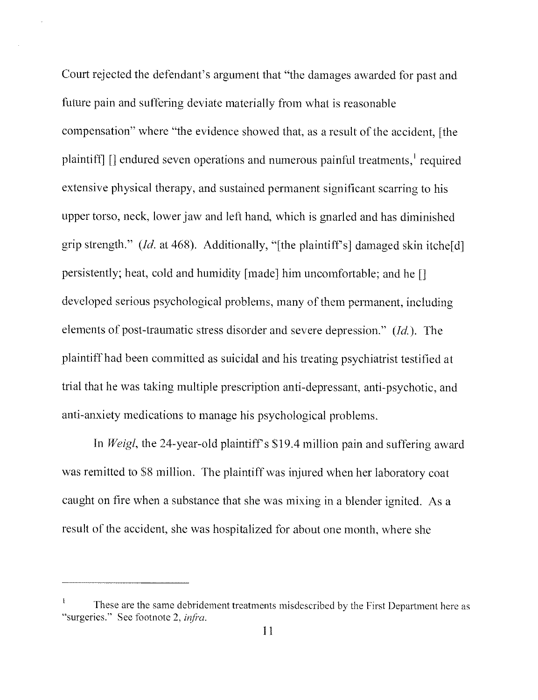Court rejected the defendant's argument that "the damages awarded for past and future pain and suffering deviate materially from what is reasonable compensation" where "the evidence showed that, as a result of the accident, [the plaintiff]  $\Box$  endured seven operations and numerous painful treatments, required extensive physical therapy, and sustained permanent significant scarring to his upper torso, neck, lower jaw and left hand, which is gnarled and has diminished grip strength." (*Id.* at 468). Additionally, "[the plaintiff's] damaged skin itche[d] persistently; heat, cold and humidity [made] him uncomfortable; and he [] developed serious psychological problems, many of them permanent, including elements of post-traumatic stress disorder and severe depression." (Id.). The plaintiff had been committed as suicidal and his treating psychiatrist testified at trial that he was taking multiple prescription anti-depressant, anti-psychotic, and anti-anxiety medications to manage his psychological problems.

In Weigl, the 24-year-old plaintiff's \$19.4 million pain and suffering award was remitted to S8 million. The plaintiff was injured when her laboratory coat caught on fire when a substance that she was mixing in a blender ignited. As a result of the accident, she was hospitalized for about one month, where she

These are the same debridement treatments misdescribed by the First Department here as "surgeries." See footnote 2, *infra*.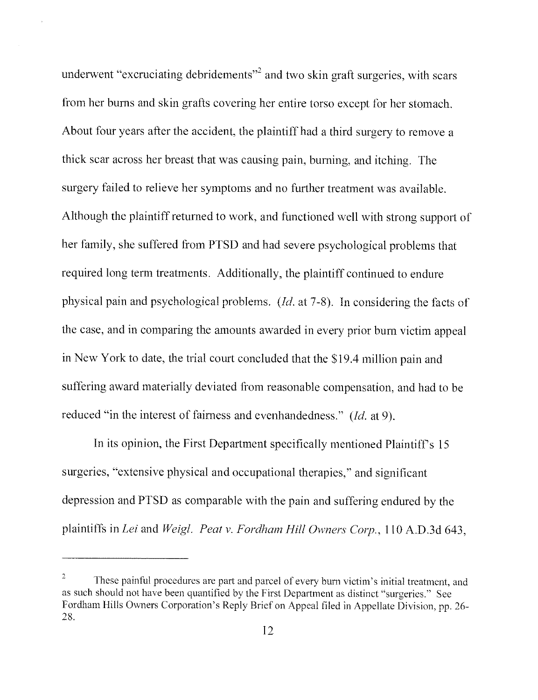underwent "excruciating debridements"<sup>2</sup> and two skin graft surgeries, with scars from her burns and skin grafts covering her entire torso except for her stomach. About four years after the accident, the plaintiff had a third surgery to remove a thick scar across her breast that was causing pain, burning, and itching. The surgery failed to relieve her symptoms and no further treatment was available. Although the plaintiff returned to work, and functioned well with strong support of her family, she suffered from PTSD and had severe psychological problems that required long term treatments. Additionally, the plaintiff continued to endure physical pain and psychological problems. (Id. at 7-8). In considering the facts of the case, and in comparing the amounts awarded in every prior burn victim appeal in New York to date, the trial court concluded that the S19.4 million pain and suffering award materially deviated from reasonable compensation, and had to be reduced "in the interest of fairness and evenhandedness." (Id. at 9).

In its opinion, the First Department specifically mentioned Plaintiff's 15 surgeries, "extensive physical and occupational therapies," and significant depression and PTSD as comparable with the pain and suffering endured by the plaintiffs in Lei and Weigl. Peat v. Fordham Hill Owners Corp., 110 A.D.3d 643,

These painful procedures are part and parcel of every burn victim's initial treatment, and as such should not have been quantified by the First Department as distinct "surgeries." See Fordham Hills Owners Corporation's Reply Brief on Appeal filed in Appellate Division, pp. 26- 28.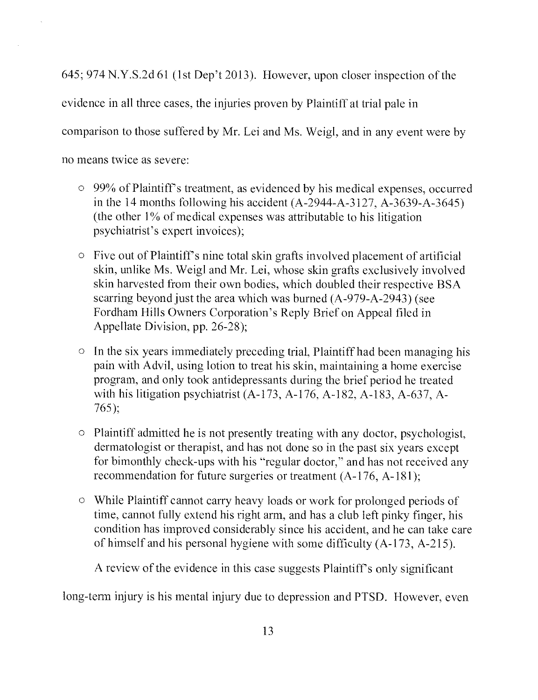645; 974 N.Y.S.2d 61 (1st Dep't 2013). However, upon closer inspection of the evidence in all three cases, the injuries proven by Plaintiff at trial pale in comparison to those suffered by Mr. Lei and Ms. Weigl, and in any event were by no means twice as severe:

- o 99% of Plaintiffs treatment, as evidenced by his medical expenses, occurred in the 14 months following his accident (A-2944-A-3127, A-3639-A-3645) (the other l% of medical expenses was attributable to his litigation psychiatrist's expert invoices);
- o Five out of Plaintiff's nine total skin grafts involved placement of artificial skin, unlike Ms. Weigl and Mr. Lei, whose skin grafts exclusively involved skin harvested from their own bodies, which doubled their respective BSA scarring beyond just the area which was burned (A-979-A-2943) (see Fordham Hills Owners Corporation's Reply Brief on Appeal filed in Appellate Division, pp. 26-28);
- o In the six years immediately preceding trial, Plaintiff had been managing his pain with Advil, using lotion to treat his skin, maintaining a home exercise program, and only took antidepressants during the brief period he treated with his litigation psychiatrist (A-173, A-176, A-182, A-183, A-637, A-765);
- o Plaintiff admitted he is not presently treating with any doctor, psychologist, dermatologist or therapist, and has not done so in the past six years except for bimonthly check-ups with his "regular doctor," and has not received any recommendation for future surgeries or treatment (A-176, A-181);
- o While Plaintiff cannot carry heavy loads or work for prolonged periods of time, cannot fully extend his right arm, and has a club left pinky finger, his condition has improved considerably since his accident, and he can take care of himself and his personal hygiene with some difficulty  $(A-173, A-215)$ .

A review of the evidence in this case suggests Plaintiffs only significant

long-term injury is his mental injury due to depression and PTSD. However, even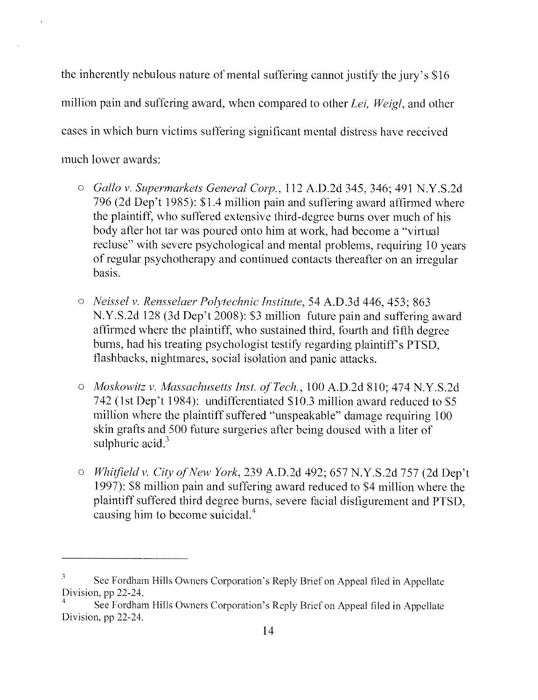the inherently nebulous nature of mental suffering cannot justify the jury's \$16 million pain and suffering award, when compared to other Lei, Weigl, and other cases in which burn victims suffering significant mental distress have received much lower awards:

- o Gallo v. Supermarkets General Corp., 112 A.D.2d 345, 346; 491 N.Y.S.2d 796 (2d Dep't 1985): \$1.4 million pain and suffering award affirmed where the plaintiff, who suffered extensive third-degree burns over much of his body after hot tar was poured onto him at work, had become a "virtual" recluse" with severe psychological and mental problems, requiring 10 years of regular psychotherapy and continued contacts thereafter on an irregular basis.
- o Neissel v. Rensselaer Polytechnic Institute, 54 A.D.3d 446, 453; 863 N.Y.S.2d 128 (3d Dep't 2008): \$3 million future pain and suffering award affirmed where the plaintiff, who sustained third, fourth and fifth degree burns, had his treating psychologist testify regarding plaintiff's PTSD. flashbacks, nightmares, social isolation and panic attacks.
- o Moskowitz v. Massachusetts Inst. of Tech., 100 A.D.2d 810; 474 N.Y.S.2d 742 (1st Dep't 1984): undifferentiated \$10.3 million award reduced to \$5 million where the plaintiff suffered "unspeakable" damage requiring. 100 skin grafts and 500 future surgeries after being doused with a liter of sulphuric  $\arctan^3$
- o Whitfield v. City of New York, 239 A.D.2d 492; 657 N.Y.S.2d 757 (2d Dep't 1997): \$8 million pain and suffering award reduced to \$4 million where the plaintiff suffered third degree burns, severe facial disfigurement and PTSD, causing him to become suicidal.4

See Fordham Hills Owners Corporation's Reply Brief on Appeal filed in Appellate Division, pp 22-24.

<sup>4</sup> See Fordham Hills Owners Corporation's Reply Brief on Appeal tiled in Appellate Division, pp 22-24.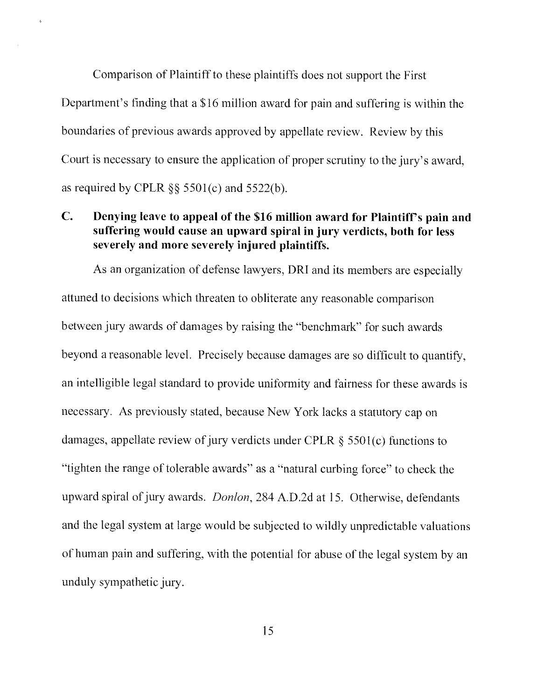Comparison of Plaintiff to these plaintiffs does not support the First Department's finding that a 816 million award for pain and suffering is within the boundaries of previous awards approved by appellate review. Review by this Court is necessary to ensure the application of proper scrutiny to the jury's award, as required by CPLR  $\S$ § 5501(c) and 5522(b).

## C. Denying leave to appeal of the \$16 million award for Plaintiffs pain and suffering would cause an upward spiral in jury verdicts, both for less severely and more severely injured plaintiffs.

As an organization of defense lawyers, DR1 and its members are especially attuned to decisions which threaten to obliterate any reasonable comparison between jury awards of damages by raising the "benchmark" for such awards beyond a reasonable level. Precisely because damages are so difficult to quantify, an intelligible legal standard to provide uniformity and fairness for these awards is necessary. As previously stated, because New York lacks a statutory cap on damages, appellate review of jury verdicts under CPLR § 5501(c) functions to "tighten the range of tolerable awards" as a "natural curbing force" to check the upward spiral of jury awards. *Donlon*, 284 A.D.2d at 15. Otherwise, defendants and the legal system at large would be subjected to wildly unpredictable valuations of human pain and suffering, with the potential for abuse of the legal system by an unduly sympathetic jury.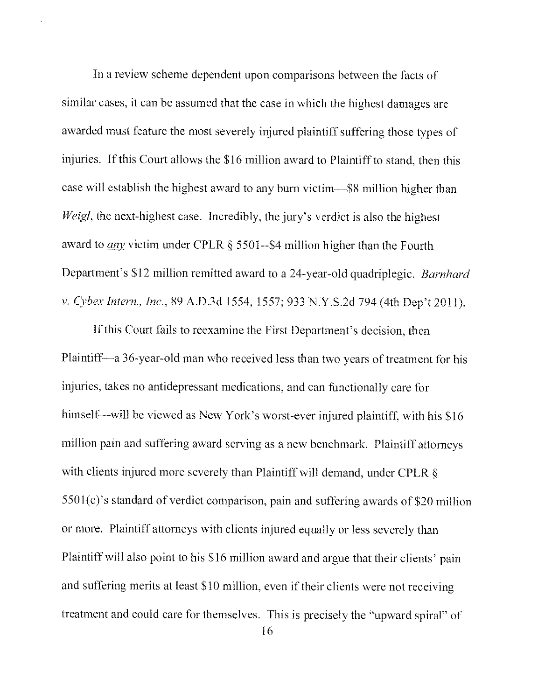In a review scheme dependent upon comparisons between the facts of similar cases, it can be assumed that the case in which the highest damages are awarded must feature the most severely injured plaintiff suffering those types of injuries. If this Court allows the \$16 million award to Plaintiff to stand, then this case will establish the highest award to any burn victim—\$8 million higher than Weigl, the next-highest case. Incredibly, the jury's verdict is also the highest award to any victim under CPLR § 5501--S4 million higher than the Fourth Department's \$12 million remitted award to a 24-year-old quadriplegic. Barnhard v, Cyber Intern., Inc., 89 A.D.3d 1554, 1557; 933 N.Y.S.2d 794 (4th Dep't 2011).

If this Court fails to reexamine the First Department's decision, then Plaintiff—a 36-year-old man who received less than two years of treatment for his injuries, takes no antidepressant medications, and can functionally care for himself—will be viewed as New York's worst-ever injured plaintiff, with his \$16 million pain and suffering award serving as a new benchmark. Plaintiff attorneys with clients injured more severely than Plaintiff will demand, under CPLR  $\delta$ 5501(c)'s standard of verdict comparison, pain and suffering awards of \$20 million or more. Plaintiff attorneys with clients injured equally or less severely than Plaintiff will also point to his \$16 million award and argue that their clients' pain and suffering merits at least \$10 million, even if their clients were not receiving treatment and could care for themselves. This is precisely the "upward spiral" of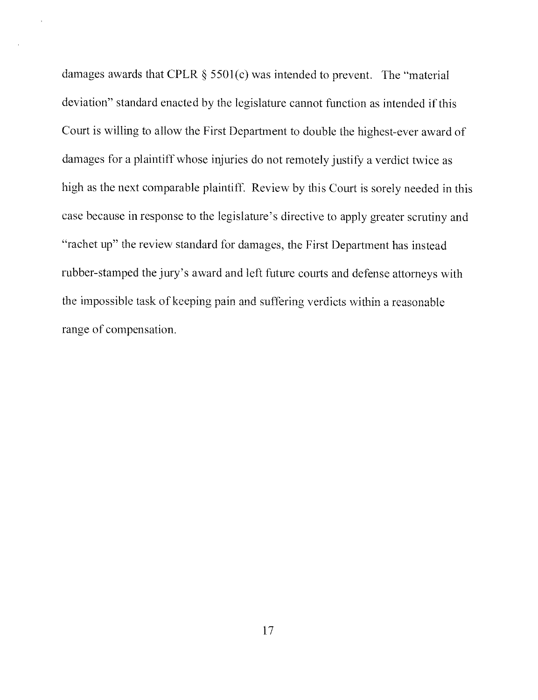damages awards that CPLR  $\S$  5501(c) was intended to prevent. The "material deviation" standard enacted by the legislature cannot function as intended if this Court is willing to allow the First Department to double the highest-ever award of damages for a plaintiff whose injuries do not remotely justify a verdict twice as high as the next comparable plaintiff. Review by this Court is sorely needed in this case because in response to the legislature's directive to apply greater scrutiny and "rachet up" the review standard for damages, the First Department has instead rubber-stamped the jury's award and left future courts and defense attorneys with the impossible task of keeping pain and suffering verdicts within a reasonable range of compensation.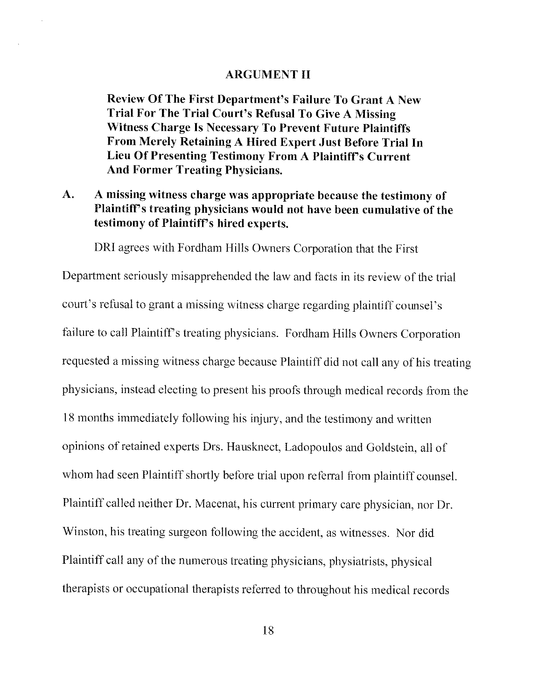#### ARGUMENT II

Review Of The First Department's Failure To Grant A New Trial For The Trial Court's Refusal To Give A Missing Witness Charge Is Necessary To Prevent Future Plaintiffs From Merely Retaining A Hired Expert Just Before Trial In Lieu Of Presenting Testimony From A Plaintiff's Current And Former Treating Physicians.

## A. A missing witness charge was appropriate because the testimony of Plaintiff's treating physicians would not have been cumulative of the testimony of Plaintiff's hired experts.

DR1 agrees with Fordham Hills Owners Corporation that the First

Department seriously misapprehended the law and facts in its review of the trial court's refusal to grant a missing witness charge regarding plaintiff counsel's failure to call Plaintiff's treating physicians. Fordham Hills Owners Corporation requested a missing witness charge because Plaintiff did not call any of his treating physicians, instead electing to present his proofs through medical records from the 18 months immediately following his injury, and the testimony and written opinions of retained experts Drs. Hausknect, Ladopoulos and Goldstein, all of whom had seen Plaintiff shortly before trial upon referral from plaintiff counsel. Plaintiff called neither Dr. Macenat, his current primary care physician, nor Dr. Winston, his treating surgeon following the accident, as witnesses. Nor did Plaintiff call any of the numerous treating physicians, physiatrists, physical therapists or occupational therapists referred to throughout his medical records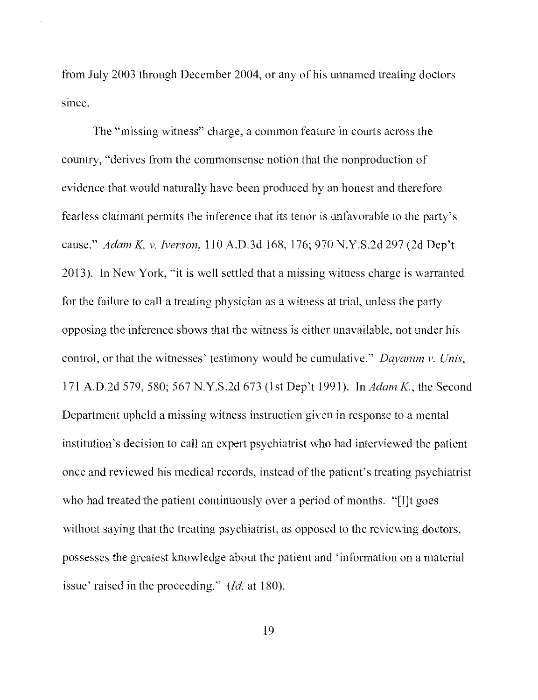from July 2003 through December 2004, or any of his unnamed treating doctors since.

The "missing witness" charge, a common feature in courts across the country, "derives from the commonsense notion that the nonproduction of evidence that would naturally have been produced by an honest and therefore fearless claim ant permits the inference that its tenor is unfavorable to the party's cause." Adam K. v. Iverson, 110 A.D.3d 168, 176; 970 N.Y.S.2d 297 (2d Dep't 2013). In New York, "it is well settled that a missing witness charge is warranted for the failure to call a treating physician as a witness at trial, unless the party opposing the inference shows that the witness is either unavailable, not under his control, or that the witnesses' testimony would be cumulative." Dayanim v. Unis, 171 A.D.2d 579, 580; 567 N.Y.S.2d 673 (1st Dep't 1991). In Adam K., the Second Department upheld a missing witness instruction given in response to a mental institution's decision to call an expert psychiatrist who had interviewed the patient once and reviewed his medical records, instead of the patient's treating psychiatrist who had treated the patient continuously over a period of months. "[I]t goes without saying that the treating psychiatrist, as opposed to the reviewing doctors, possesses the greatest knowledge about the patient and 'information on a material issue' raised in the proceeding." (Id. at 180).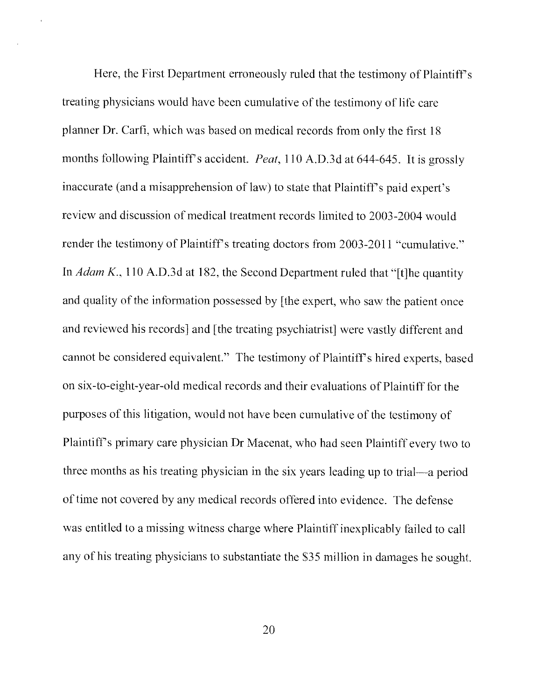Here, the First Department erroneously ruled that the testimony of Plaintiff's treating physicians would have been cumulative of the testimony of life care planner Dr. Carti, which was based on medical records from only the first 18 months following Plaintiff's accident. *Peat*, 110 A.D.3d at 644-645. It is grossly inaccurate (and a misapprehension of law) to state that Plaintiff's paid expert's review and discussion of medical treatment records limited to 2003-2004 would render the testimony of Plaintiff's treating doctors from 2003-2011 "cumulative." In *Adam K.*, 110 A.D.3d at 182, the Second Department ruled that "[t]he quantity and quality of the information possessed by [the expert, who saw the patient once and reviewed his records] and [the treating psychiatrist] were vastly different and cannot be considered equivalent." The testimony of Plaintiff's hired experts, based on six-to-eight-year-old medical records and their evaluations of Plaintiff for the purposes of this litigation, would not have been cumulative of the testimony of Plaintiff's primary care physician Dr Macenat, who had seen Plaintiff every two to three months as his treating physician in the six years leading up to trial—a period of time not covered by any medical records offered into evidence. The defense was entitled to a missing witness charge where Plaintiff inexplicably failed to call any of his treating physicians to substantiate the \$35 million in damages he sought.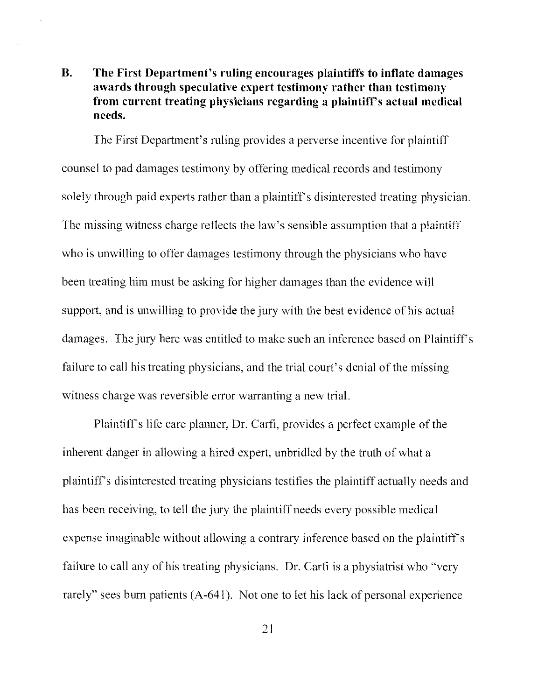## B. The First Department's ruling encourages plaintiffs to inflate damages awards through speculative expert testimony rather than testimony from current treating physicians regarding a plaintiffs actual medical needs.

The First Department's ruling provides a perverse incentive for plaintiff counsel to pad damages testimony by offering medical records and testimony solely through paid experts rather than a plaintiff's disinterested treating physician. The missing witness charge reflects the law's sensible assumption that a plaintiff who is unwilling to offer damages testimony through the physicians who have been treating him must be asking for higher damages than the evidence will support, and is unwilling to provide the jury with the best evidence of his actual damages. The jury here was entitled to make such an inference based on Plaintiff's failure to call his treating physicians, and the trial court's denial of the missing witness charge was reversible error warranting a new trial.

Plaintiffs life care planner, Dr. Carfi, provides a perfect example of the inherent danger in allowing a hired expert, unbridled by the truth of what a plaintiffs disinterested treating physicians testifies the plaintiff actually needs and has been receiving, to tell the jury the plaintiff needs every possible medical expense imaginable without allowing a contrary inference based on the plaintiff's failure to call any of his treating physicians. Dr. Carfi is a physiatrist who "very rarely" sees burn patients (A-641). Not one to let his lack of personal experience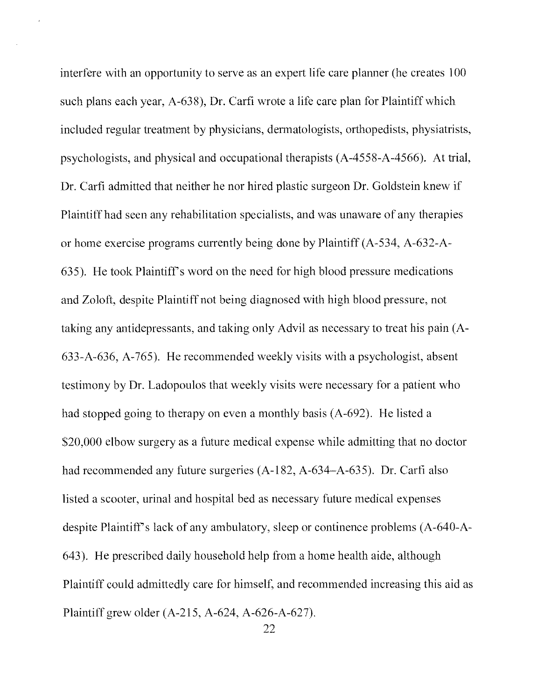interfere with an opportunity to serve as an expert life care planner (he creates 100 such plans each year, A-638), Dr. Carfi wrote a life care plan for Plaintiff which included regular treatment by physicians, dermatologists, orthopedists, physiatrists, psychologists, and physical and occupational therapists (A-4558-A-4566). At trial, Dr. Carfi admitted that neither he nor hired plastic surgeon Dr. Goldstein knew if Plaintiff had seen any rehabilitation specialists, and was unaware of any therapies or home exercise programs currently being done by Plaintiff (A-534, A-632-A-635). He took Plaintiffs word on the need for high blood pressure medications and Zoloft, despite Plaintiff not being diagnosed with high blood pressure, not taking any antidepressants, and taking only Advil as necessary to treat his pain (A-633-A-636, A-765). He recommended weekly visits with a psychologist, absent testimony by Dr. Ladopoulos that weekly visits were necessary for a patient who had stopped going to therapy on even a monthly basis (A-692). He listed a S20,000 elbow surgery as a future medical expense while admitting that no doctor had recommended any future surgeries  $(A-182, A-634-A-635)$ . Dr. Carfi also listed a scooter, urinal and hospital bed as necessary future medical expenses despite Plaintiff's lack of any ambulatory, sleep or continence problems (A-640-A-643). He prescribed daily household help from a home health aide, although Plaintiff could admittedly care for himself, and recommended increasing this aid as Plaintiff grew older (A-215, A-624, A-626-A-627).

22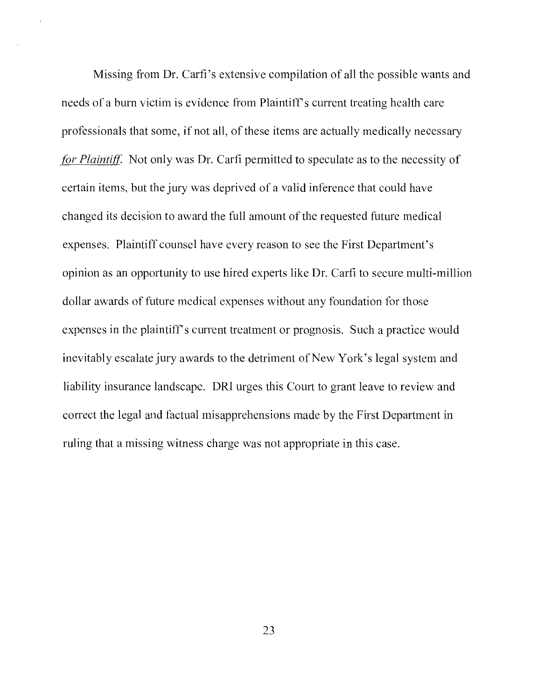Missing from Dr. Carfi's extensive compilation of all the possible wants and needs of a burn victim is evidence from Plaintiff's current treating health care professionals that some, if not all, of these items are actually medically necessary for Plaintiff. Not only was Dr. Carfi permitted to speculate as to the necessity of certain items, but the jury was deprived of a valid inference that could have changed its decision to award the full amount of the requested future medical expenses. Plaintiff counsel have every reason to see the First Department's opinion as an opportunity to use hired experts like Dr. Carfi to secure multi-million dollar awards of future medical expenses without any foundation for those expenses in the plaintiff's current treatment or prognosis. Such a practice would inevitably escalate jury awards to the detriment of New York's legal system and liability insurance landscape. DRI urges this Court to grant leave to review and correct the legal and factual misapprehensions made by the First Department in ruling that a missing witness charge was not appropriate in this case.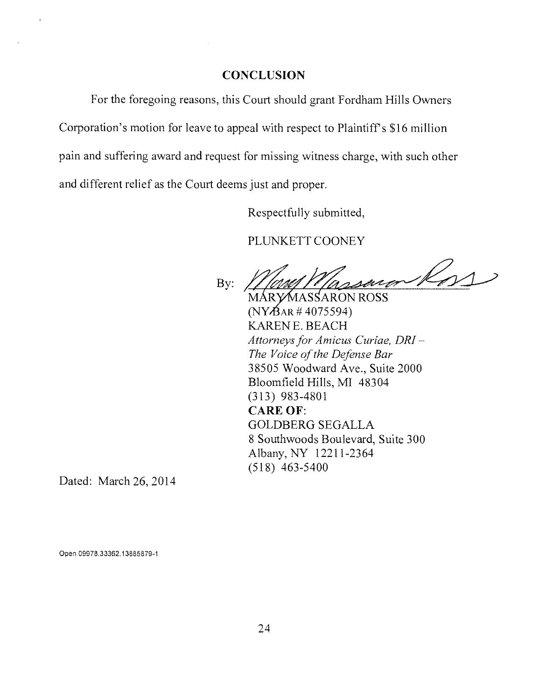#### CONCLUSION

For the foregoing reasons, this Court should grant Fordham Hills Owners Corporation's motion for leave to appeal with respect to Plaintiff's \$16 million pain and suffering award and request for missing witness charge, with such other and different relief as the Court deems just and proper.

Respectfully submitted,

PLUNKETT COONEY

Ros By:

MÁRYMASSARON ROSS  $(NY\cancel{B}AR \# 4075594)$ KAREN E. BEACH Attorneys for Amicus Curiae, DRI — The Voice of the Defense Bar 38505 Woodward Ave., Suite 2000 Bloomfield Hills, MI 48304 (313) 983-4801 CARE OF: GOLDBERG SEGALLA 8 Southwoods Boulevard, Suite 300 Albany, NY 12211-2364 (518) 463-5400

Dated: March 26, 2014

Open 09978 33362 13885879-1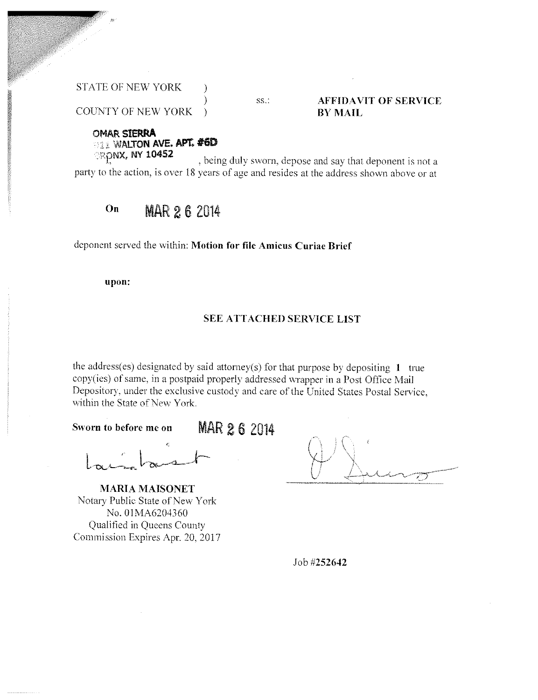STATE OF NEW YORK

#### ss.: **AFFIDAVIT OF SERVICE** BY MAIL

COUNTY OF NEW YORK )

OMAR SIERRA 1AR SIERRA<br>1 WALTON AVE. APT. **#6D** *RONX, NY 10452* 

party to the action, is over 18 years of age and resides at the address shown above or at , being duly sworn, depose and say that deponent is not a

#### $O<sub>n</sub>$ MAR 2 6 2014

deponent served the within: Motion for file Amicus Curiae Brief

 $\mathcal{E}$ 

upon:

#### SEE ATTACHED SERVICE LIST

the address(es) designated by said attorney(s) for that purpose by depositing  $1$  true copy(ies) of same, in a postpaid properly addressed wrapper in a Post Office Mail Depository, under the exclusive custody and care of the United States Postal Service, within the State of New York.

Sworn to before me on **MAR 2 6** 2014

MARIA MAISONET Notary Public State of New York No. 0IMA6204360 Qualified in Queens County Commission Expires Apr. 20, 2017

Job #252642